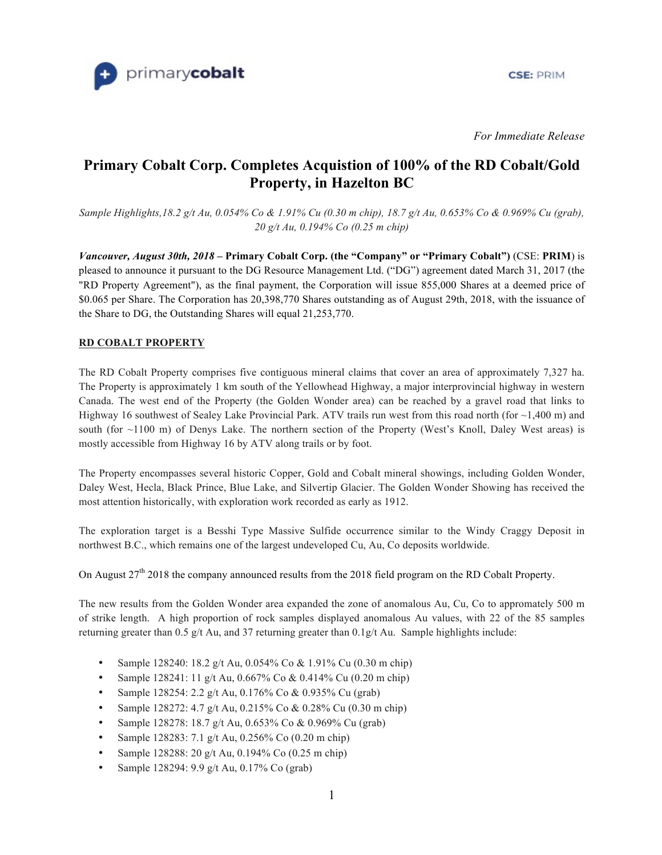

**CSE: PRIM** 

*For Immediate Release*

# **Primary Cobalt Corp. Completes Acquistion of 100% of the RD Cobalt/Gold Property, in Hazelton BC**

*Sample Highlights,18.2 g/t Au, 0.054% Co & 1.91% Cu (0.30 m chip), 18.7 g/t Au, 0.653% Co & 0.969% Cu (grab), 20 g/t Au, 0.194% Co (0.25 m chip)*

*Vancouver, August 30th, 2018* **– Primary Cobalt Corp. (the "Company" or "Primary Cobalt")** (CSE: **PRIM**) is pleased to announce it pursuant to the DG Resource Management Ltd. ("DG") agreement dated March 31, 2017 (the "RD Property Agreement"), as the final payment, the Corporation will issue 855,000 Shares at a deemed price of \$0.065 per Share. The Corporation has 20,398,770 Shares outstanding as of August 29th, 2018, with the issuance of the Share to DG, the Outstanding Shares will equal 21,253,770.

## **RD COBALT PROPERTY**

The RD Cobalt Property comprises five contiguous mineral claims that cover an area of approximately 7,327 ha. The Property is approximately 1 km south of the Yellowhead Highway, a major interprovincial highway in western Canada. The west end of the Property (the Golden Wonder area) can be reached by a gravel road that links to Highway 16 southwest of Sealey Lake Provincial Park. ATV trails run west from this road north (for  $\sim$  1,400 m) and south (for ~1100 m) of Denys Lake. The northern section of the Property (West's Knoll, Daley West areas) is mostly accessible from Highway 16 by ATV along trails or by foot.

The Property encompasses several historic Copper, Gold and Cobalt mineral showings, including Golden Wonder, Daley West, Hecla, Black Prince, Blue Lake, and Silvertip Glacier. The Golden Wonder Showing has received the most attention historically, with exploration work recorded as early as 1912.

The exploration target is a Besshi Type Massive Sulfide occurrence similar to the Windy Craggy Deposit in northwest B.C., which remains one of the largest undeveloped Cu, Au, Co deposits worldwide.

On August 27<sup>th</sup> 2018 the company announced results from the 2018 field program on the RD Cobalt Property.

The new results from the Golden Wonder area expanded the zone of anomalous Au, Cu, Co to appromately 500 m of strike length. A high proportion of rock samples displayed anomalous Au values, with 22 of the 85 samples returning greater than 0.5 g/t Au, and 37 returning greater than 0.1g/t Au. Sample highlights include:

- Sample 128240: 18.2 g/t Au, 0.054% Co & 1.91% Cu (0.30 m chip)
- Sample 128241: 11 g/t Au, 0.667% Co & 0.414% Cu (0.20 m chip)
- Sample 128254: 2.2 g/t Au, 0.176% Co & 0.935% Cu (grab)
- Sample 128272: 4.7 g/t Au, 0.215% Co & 0.28% Cu (0.30 m chip)
- Sample 128278: 18.7 g/t Au, 0.653% Co & 0.969% Cu (grab)
- Sample 128283: 7.1 g/t Au, 0.256% Co (0.20 m chip)
- Sample 128288: 20 g/t Au, 0.194% Co (0.25 m chip)
- Sample 128294:  $9.9 \text{ g/t}$  Au,  $0.17\%$  Co (grab)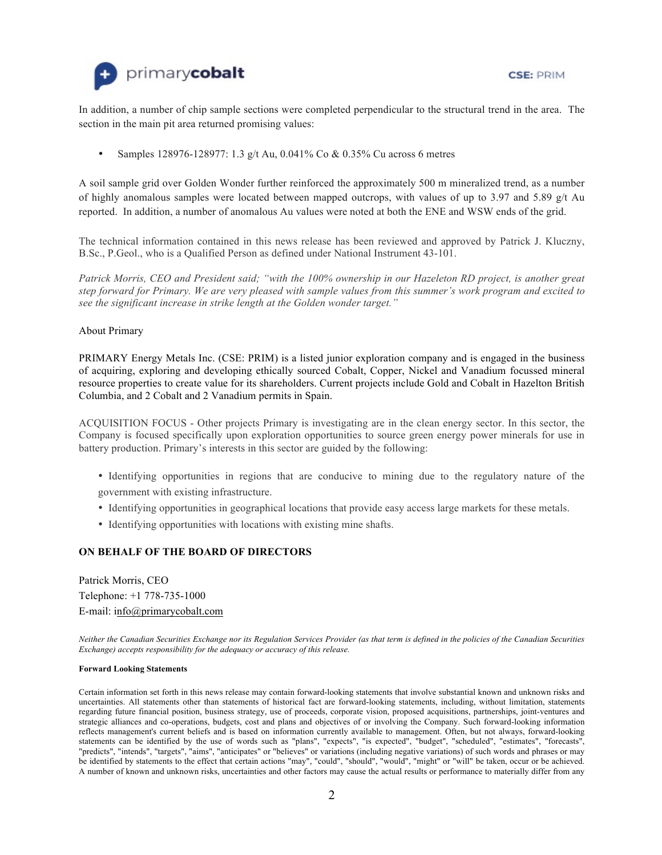



In addition, a number of chip sample sections were completed perpendicular to the structural trend in the area. The section in the main pit area returned promising values:

• Samples 128976-128977: 1.3 g/t Au, 0.041% Co & 0.35% Cu across 6 metres

A soil sample grid over Golden Wonder further reinforced the approximately 500 m mineralized trend, as a number of highly anomalous samples were located between mapped outcrops, with values of up to 3.97 and 5.89  $g/t$  Au reported. In addition, a number of anomalous Au values were noted at both the ENE and WSW ends of the grid.

The technical information contained in this news release has been reviewed and approved by Patrick J. Kluczny, B.Sc., P.Geol., who is a Qualified Person as defined under National Instrument 43-101.

*Patrick Morris, CEO and President said; "with the 100% ownership in our Hazeleton RD project, is another great step forward for Primary. We are very pleased with sample values from this summer's work program and excited to see the significant increase in strike length at the Golden wonder target."* 

### About Primary

PRIMARY Energy Metals Inc. (CSE: PRIM) is a listed junior exploration company and is engaged in the business of acquiring, exploring and developing ethically sourced Cobalt, Copper, Nickel and Vanadium focussed mineral resource properties to create value for its shareholders. Current projects include Gold and Cobalt in Hazelton British Columbia, and 2 Cobalt and 2 Vanadium permits in Spain.

ACQUISITION FOCUS - Other projects Primary is investigating are in the clean energy sector. In this sector, the Company is focused specifically upon exploration opportunities to source green energy power minerals for use in battery production. Primary's interests in this sector are guided by the following:

- Identifying opportunities in regions that are conducive to mining due to the regulatory nature of the government with existing infrastructure.
- Identifying opportunities in geographical locations that provide easy access large markets for these metals.
- Identifying opportunities with locations with existing mine shafts.

## **ON BEHALF OF THE BOARD OF DIRECTORS**

Patrick Morris, CEO Telephone: +1 778-735-1000 E-mail: [info@primarycobalt.com](mailto:info@primarycobalt.com)

*Neither the Canadian Securities Exchange nor its Regulation Services Provider (as that term is defined in the policies of the Canadian Securities Exchange) accepts responsibility for the adequacy or accuracy of this release.*

#### **Forward Looking Statements**

Certain information set forth in this news release may contain forward-looking statements that involve substantial known and unknown risks and uncertainties. All statements other than statements of historical fact are forward-looking statements, including, without limitation, statements regarding future financial position, business strategy, use of proceeds, corporate vision, proposed acquisitions, partnerships, joint-ventures and strategic alliances and co-operations, budgets, cost and plans and objectives of or involving the Company. Such forward-looking information reflects management's current beliefs and is based on information currently available to management. Often, but not always, forward-looking statements can be identified by the use of words such as "plans", "expects", "is expected", "budget", "scheduled", "estimates", "forecasts", "predicts", "intends", "targets", "aims", "anticipates" or "believes" or variations (including negative variations) of such words and phrases or may be identified by statements to the effect that certain actions "may", "could", "should", "would", "might" or "will" be taken, occur or be achieved. A number of known and unknown risks, uncertainties and other factors may cause the actual results or performance to materially differ from any